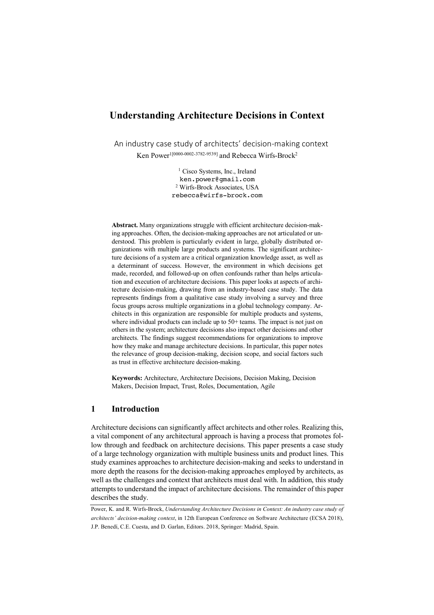# **Understanding Architecture Decisions in Context**

An industry case study of architects' decision-making context Ken Power<sup>1[0000-0002-3782-9539]</sup> and Rebecca Wirfs-Brock<sup>2</sup>

> <sup>1</sup> Cisco Systems, Inc., Ireland ken.power@gmail.com <sup>2</sup> Wirfs-Brock Associates, USA rebecca@wirfs-brock.com

**Abstract.** Many organizations struggle with efficient architecture decision-making approaches. Often, the decision-making approaches are not articulated or understood. This problem is particularly evident in large, globally distributed organizations with multiple large products and systems. The significant architecture decisions of a system are a critical organization knowledge asset, as well as a determinant of success. However, the environment in which decisions get made, recorded, and followed-up on often confounds rather than helps articulation and execution of architecture decisions. This paper looks at aspects of architecture decision-making, drawing from an industry-based case study. The data represents findings from a qualitative case study involving a survey and three focus groups across multiple organizations in a global technology company. Architects in this organization are responsible for multiple products and systems, where individual products can include up to 50+ teams. The impact is not just on others in the system; architecture decisions also impact other decisions and other architects. The findings suggest recommendations for organizations to improve how they make and manage architecture decisions. In particular, this paper notes the relevance of group decision-making, decision scope, and social factors such as trust in effective architecture decision-making.

**Keywords:** Architecture, Architecture Decisions, Decision Making, Decision Makers, Decision Impact, Trust, Roles, Documentation, Agile

## **1 Introduction**

Architecture decisions can significantly affect architects and other roles. Realizing this, a vital component of any architectural approach is having a process that promotes follow through and feedback on architecture decisions. This paper presents a case study of a large technology organization with multiple business units and product lines. This study examines approaches to architecture decision-making and seeks to understand in more depth the reasons for the decision-making approaches employed by architects, as well as the challenges and context that architects must deal with. In addition, this study attempts to understand the impact of architecture decisions. The remainder of this paper describes the study.

Power, K. and R. Wirfs-Brock, *Understanding Architecture Decisions in Context: An industry case study of architects' decision-making context*, in 12th European Conference on Software Architecture (ECSA 2018), J.P. Benedí, C.E. Cuesta, and D. Garlan, Editors. 2018, Springer: Madrid, Spain.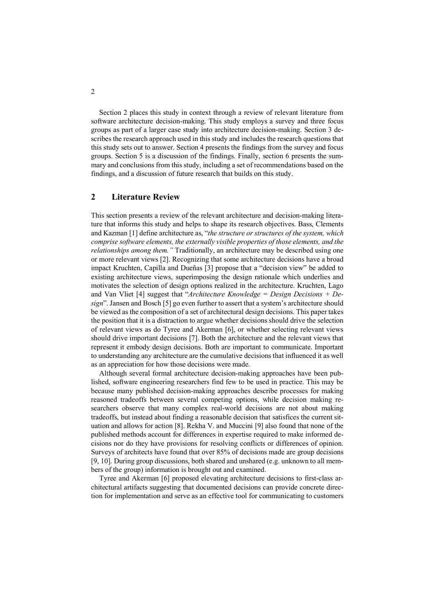Section 2 places this study in context through a review of relevant literature from software architecture decision-making. This study employs a survey and three focus groups as part of a larger case study into architecture decision-making. Section 3 describes the research approach used in this study and includes the research questions that this study sets out to answer. Section 4 presents the findings from the survey and focus groups. Section 5 is a discussion of the findings. Finally, section 6 presents the summary and conclusions from this study, including a set of recommendations based on the findings, and a discussion of future research that builds on this study.

## **2 Literature Review**

This section presents a review of the relevant architecture and decision-making literature that informs this study and helps to shape its research objectives. Bass, Clements and Kazman [1] define architecture as, "*the structure or structures of the system, which comprise software elements, the externally visible properties of those elements, and the relationships among them."* Traditionally, an architecture may be described using one or more relevant views [2]. Recognizing that some architecture decisions have a broad impact Kruchten, Capilla and Dueñas [3] propose that a "decision view" be added to existing architecture views, superimposing the design rationale which underlies and motivates the selection of design options realized in the architecture. Kruchten, Lago and Van Vliet [4] suggest that "*Architecture Knowledge = Design Decisions + Design*". Jansen and Bosch [5] go even further to assert that a system's architecture should be viewed as the composition of a set of architectural design decisions. This paper takes the position that it is a distraction to argue whether decisions should drive the selection of relevant views as do Tyree and Akerman [6], or whether selecting relevant views should drive important decisions [7]. Both the architecture and the relevant views that represent it embody design decisions. Both are important to communicate. Important to understanding any architecture are the cumulative decisions that influenced it as well as an appreciation for how those decisions were made.

Although several formal architecture decision-making approaches have been published, software engineering researchers find few to be used in practice. This may be because many published decision-making approaches describe processes for making reasoned tradeoffs between several competing options, while decision making researchers observe that many complex real-world decisions are not about making tradeoffs, but instead about finding a reasonable decision that satisfices the current situation and allows for action [8]. Rekha V. and Muccini [9] also found that none of the published methods account for differences in expertise required to make informed decisions nor do they have provisions for resolving conflicts or differences of opinion. Surveys of architects have found that over 85% of decisions made are group decisions [9, 10]. During group discussions, both shared and unshared (e.g. unknown to all members of the group) information is brought out and examined.

Tyree and Akerman [6] proposed elevating architecture decisions to first-class architectural artifacts suggesting that documented decisions can provide concrete direction for implementation and serve as an effective tool for communicating to customers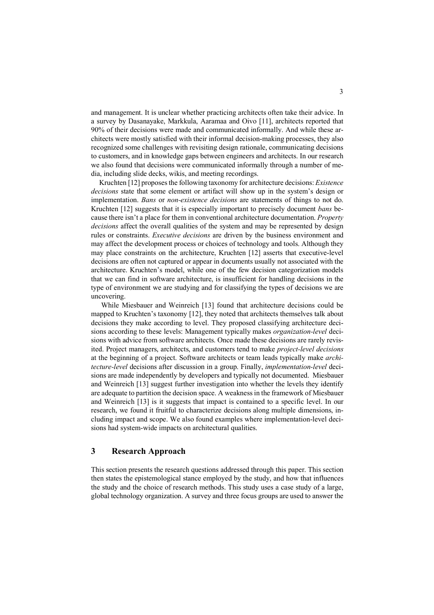and management. It is unclear whether practicing architects often take their advice. In a survey by Dasanayake, Markkula, Aaramaa and Oivo [11], architects reported that 90% of their decisions were made and communicated informally. And while these architects were mostly satisfied with their informal decision-making processes, they also recognized some challenges with revisiting design rationale, communicating decisions to customers, and in knowledge gaps between engineers and architects. In our research we also found that decisions were communicated informally through a number of media, including slide decks, wikis, and meeting recordings.

Kruchten [12] proposes the following taxonomy for architecture decisions: *Existence decisions* state that some element or artifact will show up in the system's design or implementation. *Bans* or *non-existence decisions* are statements of things to not do. Kruchten [12] suggests that it is especially important to precisely document *bans* because there isn't a place for them in conventional architecture documentation. *Property decisions* affect the overall qualities of the system and may be represented by design rules or constraints. *Executive decisions* are driven by the business environment and may affect the development process or choices of technology and tools. Although they may place constraints on the architecture, Kruchten [12] asserts that executive-level decisions are often not captured or appear in documents usually not associated with the architecture. Kruchten's model, while one of the few decision categorization models that we can find in software architecture, is insufficient for handling decisions in the type of environment we are studying and for classifying the types of decisions we are uncovering.

While Miesbauer and Weinreich [13] found that architecture decisions could be mapped to Kruchten's taxonomy [12], they noted that architects themselves talk about decisions they make according to level. They proposed classifying architecture decisions according to these levels: Management typically makes *organization-level* decisions with advice from software architects. Once made these decisions are rarely revisited. Project managers, architects, and customers tend to make *project-level decisions* at the beginning of a project. Software architects or team leads typically make *architecture-level* decisions after discussion in a group. Finally, *implementation-level* decisions are made independently by developers and typically not documented. Miesbauer and Weinreich [13] suggest further investigation into whether the levels they identify are adequate to partition the decision space. A weakness in the framework of Miesbauer and Weinreich [13] is it suggests that impact is contained to a specific level. In our research, we found it fruitful to characterize decisions along multiple dimensions, including impact and scope. We also found examples where implementation-level decisions had system-wide impacts on architectural qualities.

## **3 Research Approach**

This section presents the research questions addressed through this paper. This section then states the epistemological stance employed by the study, and how that influences the study and the choice of research methods. This study uses a case study of a large, global technology organization. A survey and three focus groups are used to answer the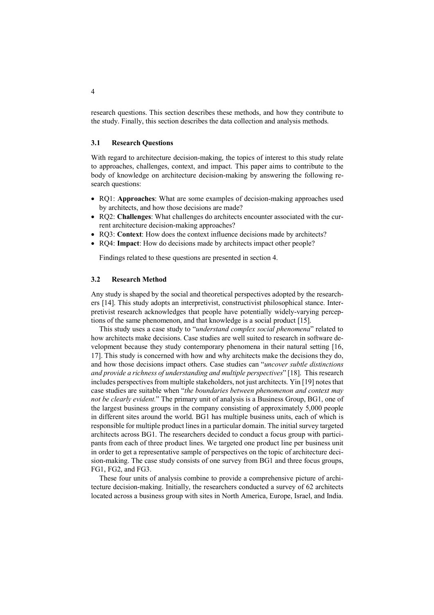research questions. This section describes these methods, and how they contribute to the study. Finally, this section describes the data collection and analysis methods.

#### **3.1 Research Questions**

With regard to architecture decision-making, the topics of interest to this study relate to approaches, challenges, context, and impact. This paper aims to contribute to the body of knowledge on architecture decision-making by answering the following research questions:

- RQ1: **Approaches**: What are some examples of decision-making approaches used by architects, and how those decisions are made?
- RQ2: **Challenges**: What challenges do architects encounter associated with the current architecture decision-making approaches?
- RQ3: **Context**: How does the context influence decisions made by architects?
- RQ4: **Impact**: How do decisions made by architects impact other people?

Findings related to these questions are presented in section 4.

## **3.2 Research Method**

Any study is shaped by the social and theoretical perspectives adopted by the researchers [14]. This study adopts an interpretivist, constructivist philosophical stance. Interpretivist research acknowledges that people have potentially widely-varying perceptions of the same phenomenon, and that knowledge is a social product [15].

This study uses a case study to "*understand complex social phenomena*" related to how architects make decisions. Case studies are well suited to research in software development because they study contemporary phenomena in their natural setting [16, 17]. This study is concerned with how and why architects make the decisions they do, and how those decisions impact others. Case studies can "*uncover subtle distinctions and provide a richness of understanding and multiple perspectives*" [18]. This research includes perspectives from multiple stakeholders, not just architects. Yin [19] notes that case studies are suitable when "*the boundaries between phenomenon and context may not be clearly evident.*" The primary unit of analysis is a Business Group, BG1, one of the largest business groups in the company consisting of approximately 5,000 people in different sites around the world. BG1 has multiple business units, each of which is responsible for multiple product lines in a particular domain. The initial survey targeted architects across BG1. The researchers decided to conduct a focus group with participants from each of three product lines. We targeted one product line per business unit in order to get a representative sample of perspectives on the topic of architecture decision-making. The case study consists of one survey from BG1 and three focus groups, FG1, FG2, and FG3.

These four units of analysis combine to provide a comprehensive picture of architecture decision-making. Initially, the researchers conducted a survey of 62 architects located across a business group with sites in North America, Europe, Israel, and India.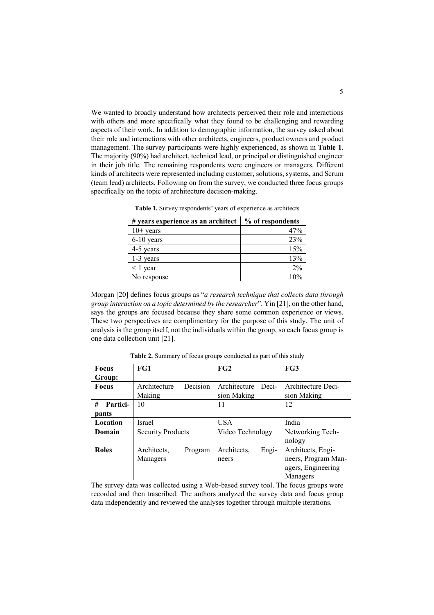We wanted to broadly understand how architects perceived their role and interactions with others and more specifically what they found to be challenging and rewarding aspects of their work. In addition to demographic information, the survey asked about their role and interactions with other architects, engineers, product owners and product management. The survey participants were highly experienced, as shown in **Table 1**. The majority (90%) had architect, technical lead, or principal or distinguished engineer in their job title. The remaining respondents were engineers or managers. Different kinds of architects were represented including customer, solutions, systems, and Scrum (team lead) architects. Following on from the survey, we conducted three focus groups specifically on the topic of architecture decision-making.

| # years experience as an architect | % of respondents |
|------------------------------------|------------------|
| $10+$ years                        | 47%              |
| $6-10$ years                       | 23%              |
| 4-5 years                          | 15%              |
| $1-3$ years                        | 13%              |
| $\leq 1$ year                      | $2\%$            |
| No response                        | $10\%$           |

**Table 1.** Survey respondents' years of experience as architects

Morgan [20] defines focus groups as "*a research technique that collects data through group interaction on a topic determined by the researcher*". Yin [21], on the other hand, says the groups are focused because they share some common experience or views. These two perspectives are complimentary for the purpose of this study. The unit of analysis is the group itself, not the individuals within the group, so each focus group is one data collection unit [21].

| <b>Focus</b><br>Group: | FG1                                | FG2                                  | FG3                                                                        |
|------------------------|------------------------------------|--------------------------------------|----------------------------------------------------------------------------|
| <b>Focus</b>           | Decision<br>Architecture<br>Making | Architecture<br>Deci-<br>sion Making | Architecture Deci-<br>sion Making                                          |
| #<br>Partici-<br>pants | 10                                 | 11                                   | 12                                                                         |
| Location               | Israel                             | USA                                  | India                                                                      |
| Domain                 | <b>Security Products</b>           | Video Technology                     | Networking Tech-<br>nology                                                 |
| <b>Roles</b>           | Architects.<br>Program<br>Managers | Engi-<br>Architects,<br>neers        | Architects, Engi-<br>neers, Program Man-<br>agers, Engineering<br>Managers |

**Table 2.** Summary of focus groups conducted as part of this study

The survey data was collected using a Web-based survey tool. The focus groups were recorded and then trascribed. The authors analyzed the survey data and focus group data independently and reviewed the analyses together through multiple iterations.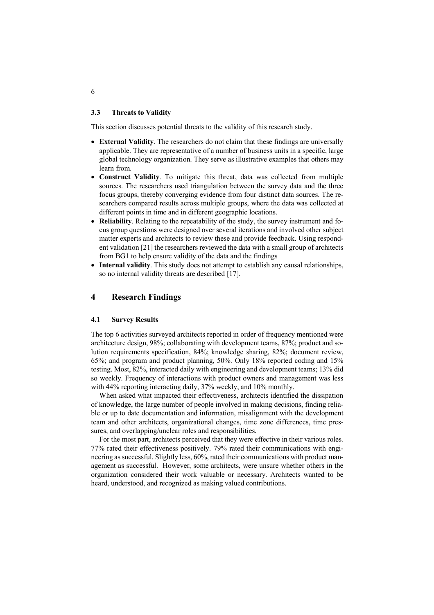#### **3.3 Threats to Validity**

This section discusses potential threats to the validity of this research study.

- **External Validity**. The researchers do not claim that these findings are universally applicable. They are representative of a number of business units in a specific, large global technology organization. They serve as illustrative examples that others may learn from.
- **Construct Validity**. To mitigate this threat, data was collected from multiple sources. The researchers used triangulation between the survey data and the three focus groups, thereby converging evidence from four distinct data sources. The researchers compared results across multiple groups, where the data was collected at different points in time and in different geographic locations.
- **Reliability**. Relating to the repeatability of the study, the survey instrument and focus group questions were designed over several iterations and involved other subject matter experts and architects to review these and provide feedback. Using respondent validation [21] the researchers reviewed the data with a small group of architects from BG1 to help ensure validity of the data and the findings
- **Internal validity**. This study does not attempt to establish any causal relationships, so no internal validity threats are described [17].

## **4 Research Findings**

#### **4.1 Survey Results**

The top 6 activities surveyed architects reported in order of frequency mentioned were architecture design, 98%; collaborating with development teams, 87%; product and solution requirements specification, 84%; knowledge sharing, 82%; document review, 65%; and program and product planning, 50%. Only 18% reported coding and 15% testing. Most, 82%, interacted daily with engineering and development teams; 13% did so weekly. Frequency of interactions with product owners and management was less with 44% reporting interacting daily, 37% weekly, and 10% monthly.

When asked what impacted their effectiveness, architects identified the dissipation of knowledge, the large number of people involved in making decisions, finding reliable or up to date documentation and information, misalignment with the development team and other architects, organizational changes, time zone differences, time pressures, and overlapping/unclear roles and responsibilities.

For the most part, architects perceived that they were effective in their various roles. 77% rated their effectiveness positively. 79% rated their communications with engineering as successful. Slightly less, 60%, rated their communications with product management as successful. However, some architects, were unsure whether others in the organization considered their work valuable or necessary. Architects wanted to be heard, understood, and recognized as making valued contributions.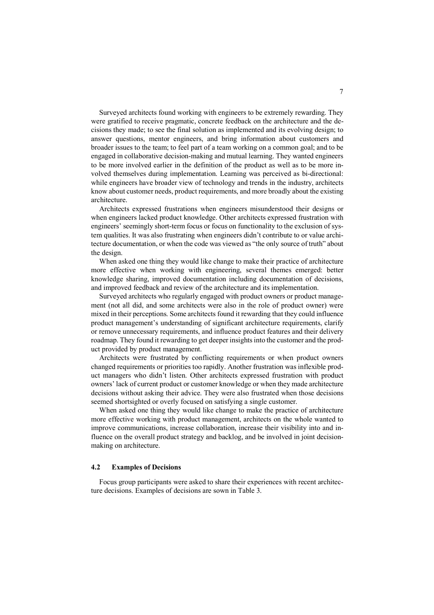Surveyed architects found working with engineers to be extremely rewarding. They were gratified to receive pragmatic, concrete feedback on the architecture and the decisions they made; to see the final solution as implemented and its evolving design; to answer questions, mentor engineers, and bring information about customers and broader issues to the team; to feel part of a team working on a common goal; and to be engaged in collaborative decision-making and mutual learning. They wanted engineers to be more involved earlier in the definition of the product as well as to be more involved themselves during implementation. Learning was perceived as bi-directional: while engineers have broader view of technology and trends in the industry, architects know about customer needs, product requirements, and more broadly about the existing architecture.

Architects expressed frustrations when engineers misunderstood their designs or when engineers lacked product knowledge. Other architects expressed frustration with engineers' seemingly short-term focus or focus on functionality to the exclusion of system qualities. It was also frustrating when engineers didn't contribute to or value architecture documentation, or when the code was viewed as "the only source of truth" about the design.

When asked one thing they would like change to make their practice of architecture more effective when working with engineering, several themes emerged: better knowledge sharing, improved documentation including documentation of decisions, and improved feedback and review of the architecture and its implementation.

Surveyed architects who regularly engaged with product owners or product management (not all did, and some architects were also in the role of product owner) were mixed in their perceptions. Some architects found it rewarding that they could influence product management's understanding of significant architecture requirements, clarify or remove unnecessary requirements, and influence product features and their delivery roadmap. They found it rewarding to get deeper insights into the customer and the product provided by product management.

Architects were frustrated by conflicting requirements or when product owners changed requirements or priorities too rapidly. Another frustration was inflexible product managers who didn't listen. Other architects expressed frustration with product owners' lack of current product or customer knowledge or when they made architecture decisions without asking their advice. They were also frustrated when those decisions seemed shortsighted or overly focused on satisfying a single customer.

When asked one thing they would like change to make the practice of architecture more effective working with product management, architects on the whole wanted to improve communications, increase collaboration, increase their visibility into and influence on the overall product strategy and backlog, and be involved in joint decisionmaking on architecture.

#### **4.2 Examples of Decisions**

Focus group participants were asked to share their experiences with recent architecture decisions. Examples of decisions are sown in Table 3.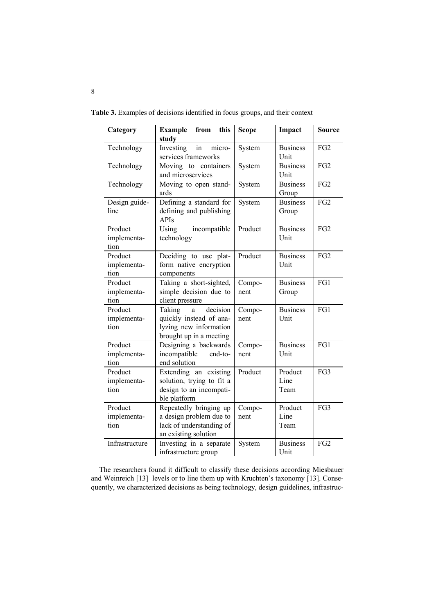| Category                       | <b>Example</b><br>from<br>this<br>study                                                                 | <b>Scope</b>   | Impact                   | Source          |
|--------------------------------|---------------------------------------------------------------------------------------------------------|----------------|--------------------------|-----------------|
| Technology                     | Investing<br>in<br>micro-<br>services frameworks                                                        | System         | <b>Business</b><br>Unit  | FG <sub>2</sub> |
| Technology                     | Moving to<br>containers<br>and microservices                                                            | System         | <b>Business</b><br>Unit  | FG <sub>2</sub> |
| Technology                     | Moving to open stand-<br>ards                                                                           | System         | <b>Business</b><br>Group | FG <sub>2</sub> |
| Design guide-<br>line          | Defining a standard for<br>defining and publishing<br><b>APIs</b>                                       | System         | <b>Business</b><br>Group | FG <sub>2</sub> |
| Product<br>implementa-<br>tion | incompatible<br>Using<br>technology                                                                     | Product        | <b>Business</b><br>Unit  | FG <sub>2</sub> |
| Product<br>implementa-<br>tion | Deciding to use plat-<br>form native encryption<br>components                                           | Product        | <b>Business</b><br>Unit  | FG <sub>2</sub> |
| Product<br>implementa-<br>tion | Taking a short-sighted,<br>simple decision due to<br>client pressure                                    | Compo-<br>nent | <b>Business</b><br>Group | FG1             |
| Product<br>implementa-<br>tion | decision<br>Taking<br>a<br>quickly instead of ana-<br>lyzing new information<br>brought up in a meeting | Compo-<br>nent | <b>Business</b><br>Unit  | FG1             |
| Product<br>implementa-<br>tion | Designing a backwards<br>incompatible<br>end-to-<br>end solution                                        | Compo-<br>nent | <b>Business</b><br>Unit  | FG1             |
| Product<br>implementa-<br>tion | Extending an existing<br>solution, trying to fit a<br>design to an incompati-<br>ble platform           | Product        | Product<br>Line<br>Team  | FG3             |
| Product<br>implementa-<br>tion | Repeatedly bringing up<br>a design problem due to<br>lack of understanding of<br>an existing solution   | Compo-<br>nent | Product<br>Line<br>Team  | FG3             |
| Infrastructure                 | Investing in a separate<br>infrastructure group                                                         | System         | <b>Business</b><br>Unit  | FG <sub>2</sub> |

**Table 3.** Examples of decisions identified in focus groups, and their context

The researchers found it difficult to classify these decisions according Miesbauer and Weinreich [13] levels or to line them up with Kruchten's taxonomy [13]. Consequently, we characterized decisions as being technology, design guidelines, infrastruc-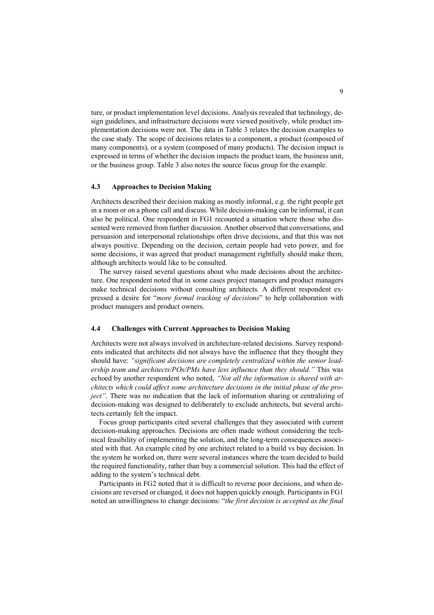ture, or product implementation level decisions. Analysis revealed that technology, design guidelines, and infrastructure decisions were viewed positively, while product implementation decisions were not. The data in Table 3 relates the decision examples to the case study. The scope of decisions relates to a component, a product (composed of many components), or a system (composed of many products). The decision impact is expressed in terms of whether the decision impacts the product team, the business unit, or the business group. Table 3 also notes the source focus group for the example.

### **4.3 Approaches to Decision Making**

Architects described their decision making as mostly informal, e.g. the right people get in a room or on a phone call and discuss. While decision-making can be informal, it can also be political. One respondent in FG1 recounted a situation where those who dissented were removed from further discussion. Another observed that conversations, and persuasion and interpersonal relationships often drive decisions, and that this was not always positive. Depending on the decision, certain people had veto power, and for some decisions, it was agreed that product management rightfully should make them, although architects would like to be consulted.

The survey raised several questions about who made decisions about the architecture. One respondent noted that in some cases project managers and product managers make technical decisions without consulting architects. A different respondent expressed a desire for "*more formal tracking of decisions*" to help collaboration with product managers and product owners.

#### **4.4 Challenges with Current Approaches to Decision Making**

Architects were not always involved in architecture-related decisions. Survey respondents indicated that architects did not always have the influence that they thought they should have: *"significant decisions are completely centralized within the senior leadership team and architects/POs/PMs have less influence than they should."* This was echoed by another respondent who noted, *"Not all the information is shared with architects which could affect some architecture decisions in the initial phase of the project*". There was no indication that the lack of information sharing or centralizing of decision-making was designed to deliberately to exclude architects, but several architects certainly felt the impact.

Focus group participants cited several challenges that they associated with current decision-making approaches. Decisions are often made without considering the technical feasibility of implementing the solution, and the long-term consequences associated with that. An example cited by one architect related to a build vs buy decision. In the system he worked on, there were several instances where the team decided to build the required functionality, rather than buy a commercial solution. This had the effect of adding to the system's technical debt.

Participants in FG2 noted that it is difficult to reverse poor decisions, and when decisions are reversed or changed, it does not happen quickly enough. Participants in FG1 noted an unwillingness to change decisions: "*the first decision is accepted as the final*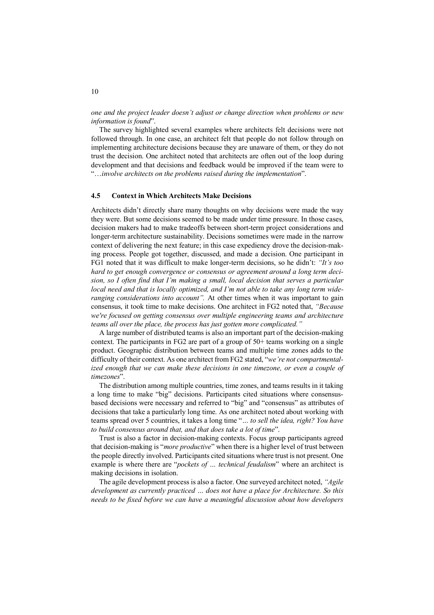## *one and the project leader doesn't adjust or change direction when problems or new information is found*".

The survey highlighted several examples where architects felt decisions were not followed through. In one case, an architect felt that people do not follow through on implementing architecture decisions because they are unaware of them, or they do not trust the decision. One architect noted that architects are often out of the loop during development and that decisions and feedback would be improved if the team were to "…*involve architects on the problems raised during the implementation*".

#### **4.5 Context in Which Architects Make Decisions**

Architects didn't directly share many thoughts on why decisions were made the way they were. But some decisions seemed to be made under time pressure. In those cases, decision makers had to make tradeoffs between short-term project considerations and longer-term architecture sustainability. Decisions sometimes were made in the narrow context of delivering the next feature; in this case expediency drove the decision-making process. People got together, discussed, and made a decision. One participant in FG1 noted that it was difficult to make longer-term decisions, so he didn't: *"It's too hard to get enough convergence or consensus or agreement around a long term decision, so I often find that I'm making a small, local decision that serves a particular local need and that is locally optimized, and I'm not able to take any long term wideranging considerations into account".* At other times when it was important to gain consensus, it took time to make decisions. One architect in FG2 noted that, *"Because we're focused on getting consensus over multiple engineering teams and architecture teams all over the place, the process has just gotten more complicated."*

A large number of distributed teams is also an important part of the decision-making context. The participants in FG2 are part of a group of 50+ teams working on a single product. Geographic distribution between teams and multiple time zones adds to the difficulty of their context. As one architect from FG2 stated, "*we're not compartmentalized enough that we can make these decisions in one timezone, or even a couple of timezones*".

The distribution among multiple countries, time zones, and teams results in it taking a long time to make "big" decisions. Participants cited situations where consensusbased decisions were necessary and referred to "big" and "consensus" as attributes of decisions that take a particularly long time. As one architect noted about working with teams spread over 5 countries, it takes a long time "*… to sell the idea, right? You have to build consensus around that, and that does take a lot of time*".

Trust is also a factor in decision-making contexts. Focus group participants agreed that decision-making is "*more productive*" when there is a higher level of trust between the people directly involved. Participants cited situations where trust is not present. One example is where there are "*pockets of … technical feudalism*" where an architect is making decisions in isolation.

The agile development process is also a factor. One surveyed architect noted, *"Agile development as currently practiced … does not have a place for Architecture. So this needs to be fixed before we can have a meaningful discussion about how developers*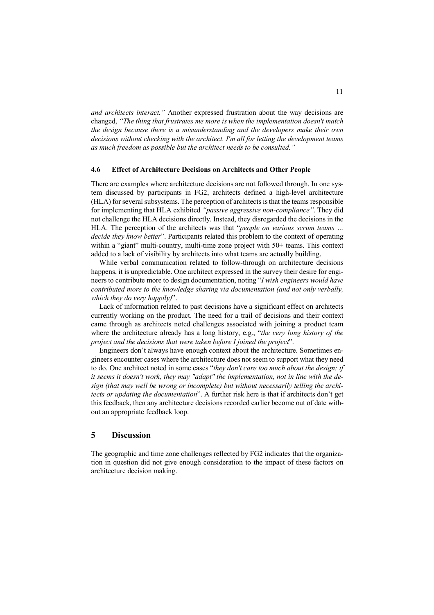*and architects interact."* Another expressed frustration about the way decisions are changed, *"The thing that frustrates me more is when the implementation doesn't match the design because there is a misunderstanding and the developers make their own decisions without checking with the architect. I'm all for letting the development teams as much freedom as possible but the architect needs to be consulted."*

#### **4.6 Effect of Architecture Decisions on Architects and Other People**

There are examples where architecture decisions are not followed through. In one system discussed by participants in FG2, architects defined a high-level architecture (HLA) for several subsystems. The perception of architects is that the teams responsible for implementing that HLA exhibited *"passive aggressive non-compliance"*. They did not challenge the HLA decisions directly. Instead, they disregarded the decisions in the HLA. The perception of the architects was that "*people on various scrum teams … decide they know better*". Participants related this problem to the context of operating within a "giant" multi-country, multi-time zone project with 50+ teams. This context added to a lack of visibility by architects into what teams are actually building.

While verbal communication related to follow-through on architecture decisions happens, it is unpredictable. One architect expressed in the survey their desire for engineers to contribute more to design documentation, noting "*I wish engineers would have contributed more to the knowledge sharing via documentation (and not only verbally, which they do very happily)*".

Lack of information related to past decisions have a significant effect on architects currently working on the product. The need for a trail of decisions and their context came through as architects noted challenges associated with joining a product team where the architecture already has a long history, e.g., "*the very long history of the project and the decisions that were taken before I joined the project*".

Engineers don't always have enough context about the architecture. Sometimes engineers encounter cases where the architecture does not seem to support what they need to do. One architect noted in some cases "*they don't care too much about the design; if it seems it doesn't work, they may "adapt" the implementation, not in line with the design (that may well be wrong or incomplete) but without necessarily telling the architects or updating the documentation*". A further risk here is that if architects don't get this feedback, then any architecture decisions recorded earlier become out of date without an appropriate feedback loop.

## **5 Discussion**

The geographic and time zone challenges reflected by FG2 indicates that the organization in question did not give enough consideration to the impact of these factors on architecture decision making.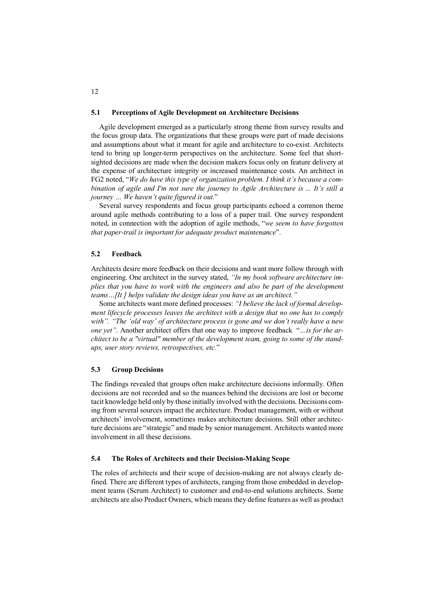#### **5.1 Perceptions of Agile Development on Architecture Decisions**

Agile development emerged as a particularly strong theme from survey results and the focus group data. The organizations that these groups were part of made decisions and assumptions about what it meant for agile and architecture to co-exist. Architects tend to bring up longer-term perspectives on the architecture. Some feel that shortsighted decisions are made when the decision makers focus only on feature delivery at the expense of architecture integrity or increased maintenance costs. An architect in FG2 noted, "*We do have this type of organization problem. I think it's because a combination of agile and I'm not sure the journey to Agile Architecture is ... It's still a journey … We haven't quite figured it out.*"

Several survey respondents and focus group participants echoed a common theme around agile methods contributing to a loss of a paper trail. One survey respondent noted, in connection with the adoption of agile methods, "*we seem to have forgotten that paper-trail is important for adequate product maintenance*".

#### **5.2 Feedback**

Architects desire more feedback on their decisions and want more follow through with engineering. One architect in the survey stated, *"In my book software architecture implies that you have to work with the engineers and also be part of the development teams…[It ] helps validate the design ideas you have as an architect."*

Some architects want more defined processes: *"I believe the lack of formal development lifecycle processes leaves the architect with a design that no one has to comply with". "The 'old way' of architecture process is gone and we don't really have a new one yet".* Another architect offers that one way to improve feedback "*…is for the architect to be a "virtual" member of the development team, going to some of the standups, user story reviews, retrospectives, etc.*"

#### **5.3 Group Decisions**

The findings revealed that groups often make architecture decisions informally. Often decisions are not recorded and so the nuances behind the decisions are lost or become tacit knowledge held only by those initially involved with the decisions. Decisions coming from several sources impact the architecture. Product management, with or without architects' involvement, sometimes makes architecture decisions. Still other architecture decisions are "strategic" and made by senior management. Architects wanted more involvement in all these decisions.

## **5.4 The Roles of Architects and their Decision-Making Scope**

The roles of architects and their scope of decision-making are not always clearly defined. There are different types of architects, ranging from those embedded in development teams (Scrum Architect) to customer and end-to-end solutions architects. Some architects are also Product Owners, which means they define features as well as product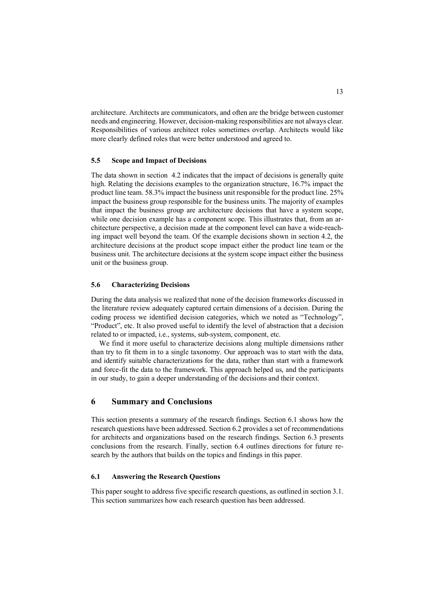architecture. Architects are communicators, and often are the bridge between customer needs and engineering. However, decision-making responsibilities are not always clear. Responsibilities of various architect roles sometimes overlap. Architects would like more clearly defined roles that were better understood and agreed to.

#### **5.5 Scope and Impact of Decisions**

The data shown in section 4.2 indicates that the impact of decisions is generally quite high. Relating the decisions examples to the organization structure, 16.7% impact the product line team. 58.3% impact the business unit responsible for the product line. 25% impact the business group responsible for the business units. The majority of examples that impact the business group are architecture decisions that have a system scope, while one decision example has a component scope. This illustrates that, from an architecture perspective, a decision made at the component level can have a wide-reaching impact well beyond the team. Of the example decisions shown in section 4.2, the architecture decisions at the product scope impact either the product line team or the business unit. The architecture decisions at the system scope impact either the business unit or the business group.

#### **5.6 Characterizing Decisions**

During the data analysis we realized that none of the decision frameworks discussed in the literature review adequately captured certain dimensions of a decision. During the coding process we identified decision categories, which we noted as "Technology", "Product", etc. It also proved useful to identify the level of abstraction that a decision related to or impacted, i.e., systems, sub-system, component, etc.

We find it more useful to characterize decisions along multiple dimensions rather than try to fit them in to a single taxonomy. Our approach was to start with the data, and identify suitable characterizations for the data, rather than start with a framework and force-fit the data to the framework. This approach helped us, and the participants in our study, to gain a deeper understanding of the decisions and their context.

## **6 Summary and Conclusions**

This section presents a summary of the research findings. Section 6.1 shows how the research questions have been addressed. Section 6.2 provides a set of recommendations for architects and organizations based on the research findings. Section 6.3 presents conclusions from the research. Finally, section 6.4 outlines directions for future research by the authors that builds on the topics and findings in this paper.

## **6.1 Answering the Research Questions**

This paper sought to address five specific research questions, as outlined in section 3.1. This section summarizes how each research question has been addressed.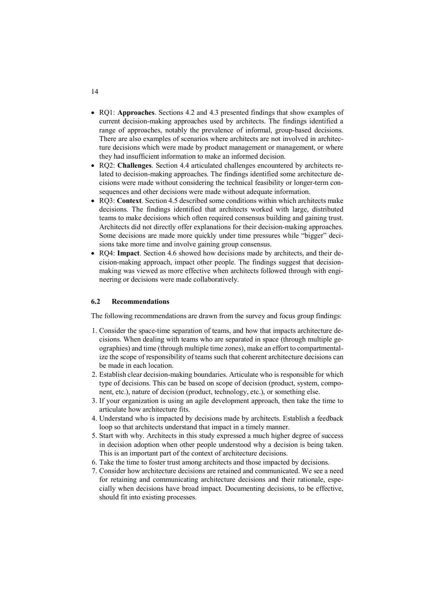- RQ1: **Approaches**. Sections 4.2 and 4.3 presented findings that show examples of current decision-making approaches used by architects. The findings identified a range of approaches, notably the prevalence of informal, group-based decisions. There are also examples of scenarios where architects are not involved in architecture decisions which were made by product management or management, or where they had insufficient information to make an informed decision.
- RQ2: **Challenges**. Section 4.4 articulated challenges encountered by architects related to decision-making approaches. The findings identified some architecture decisions were made without considering the technical feasibility or longer-term consequences and other decisions were made without adequate information.
- RQ3: **Context**. Section 4.5 described some conditions within which architects make decisions. The findings identified that architects worked with large, distributed teams to make decisions which often required consensus building and gaining trust. Architects did not directly offer explanations for their decision-making approaches. Some decisions are made more quickly under time pressures while "bigger" decisions take more time and involve gaining group consensus.
- RQ4: **Impact**. Section 4.6 showed how decisions made by architects, and their decision-making approach, impact other people. The findings suggest that decisionmaking was viewed as more effective when architects followed through with engineering or decisions were made collaboratively.

## **6.2 Recommendations**

The following recommendations are drawn from the survey and focus group findings:

- 1. Consider the space-time separation of teams, and how that impacts architecture decisions. When dealing with teams who are separated in space (through multiple geographies) and time (through multiple time zones), make an effort to compartmentalize the scope of responsibility of teams such that coherent architecture decisions can be made in each location.
- 2. Establish clear decision-making boundaries. Articulate who is responsible for which type of decisions. This can be based on scope of decision (product, system, component, etc.), nature of decision (product, technology, etc.), or something else.
- 3. If your organization is using an agile development approach, then take the time to articulate how architecture fits.
- 4. Understand who is impacted by decisions made by architects. Establish a feedback loop so that architects understand that impact in a timely manner.
- 5. Start with why. Architects in this study expressed a much higher degree of success in decision adoption when other people understood why a decision is being taken. This is an important part of the context of architecture decisions.
- 6. Take the time to foster trust among architects and those impacted by decisions.
- 7. Consider how architecture decisions are retained and communicated. We see a need for retaining and communicating architecture decisions and their rationale, especially when decisions have broad impact. Documenting decisions, to be effective, should fit into existing processes.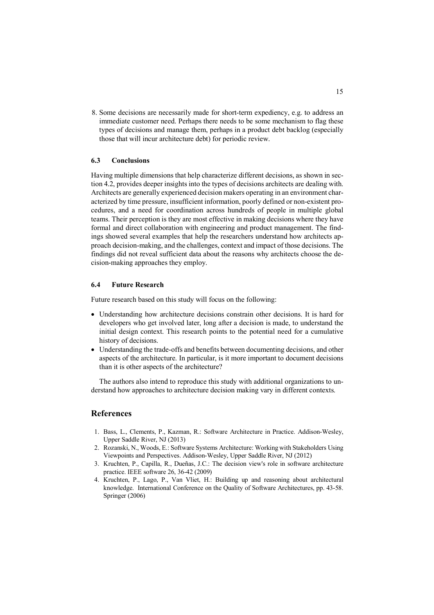8. Some decisions are necessarily made for short-term expediency, e.g. to address an immediate customer need. Perhaps there needs to be some mechanism to flag these types of decisions and manage them, perhaps in a product debt backlog (especially those that will incur architecture debt) for periodic review.

## **6.3 Conclusions**

Having multiple dimensions that help characterize different decisions, as shown in section 4.2, provides deeper insights into the types of decisions architects are dealing with. Architects are generally experienced decision makers operating in an environment characterized by time pressure, insufficient information, poorly defined or non-existent procedures, and a need for coordination across hundreds of people in multiple global teams. Their perception is they are most effective in making decisions where they have formal and direct collaboration with engineering and product management. The findings showed several examples that help the researchers understand how architects approach decision-making, and the challenges, context and impact of those decisions. The findings did not reveal sufficient data about the reasons why architects choose the decision-making approaches they employ.

#### **6.4 Future Research**

Future research based on this study will focus on the following:

- Understanding how architecture decisions constrain other decisions. It is hard for developers who get involved later, long after a decision is made, to understand the initial design context. This research points to the potential need for a cumulative history of decisions.
- Understanding the trade-offs and benefits between documenting decisions, and other aspects of the architecture. In particular, is it more important to document decisions than it is other aspects of the architecture?

The authors also intend to reproduce this study with additional organizations to understand how approaches to architecture decision making vary in different contexts.

## **References**

- 1. Bass, L., Clements, P., Kazman, R.: Software Architecture in Practice. Addison-Wesley, Upper Saddle River, NJ (2013)
- 2. Rozanski, N., Woods, E.: Software Systems Architecture: Working with Stakeholders Using Viewpoints and Perspectives. Addison-Wesley, Upper Saddle River, NJ (2012)
- 3. Kruchten, P., Capilla, R., Dueñas, J.C.: The decision view's role in software architecture practice. IEEE software 26, 36-42 (2009)
- 4. Kruchten, P., Lago, P., Van Vliet, H.: Building up and reasoning about architectural knowledge. International Conference on the Quality of Software Architectures, pp. 43-58. Springer (2006)